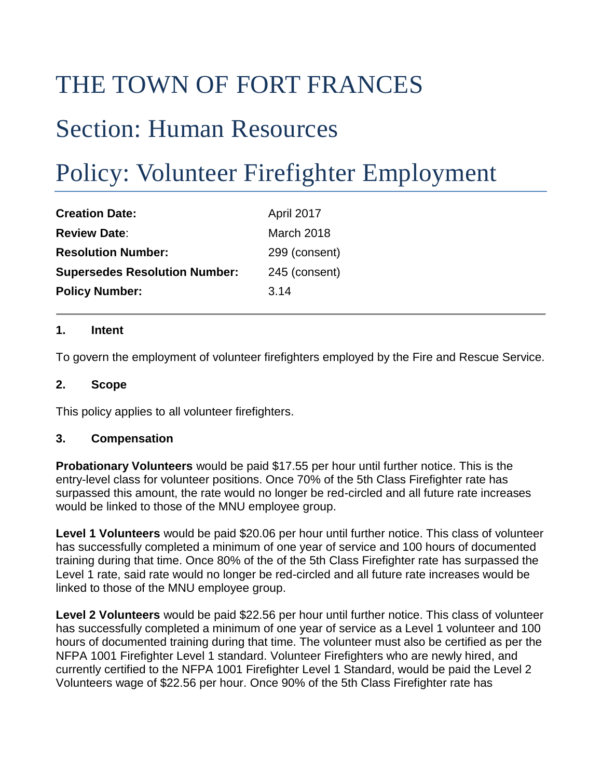## THE TOWN OF FORT FRANCES

### Section: Human Resources

# Policy: Volunteer Firefighter Employment

| <b>Creation Date:</b>                | April 2017    |
|--------------------------------------|---------------|
| <b>Review Date:</b>                  | March 2018    |
| <b>Resolution Number:</b>            | 299 (consent) |
| <b>Supersedes Resolution Number:</b> | 245 (consent) |
| <b>Policy Number:</b>                | 3.14          |

#### **1. Intent**

To govern the employment of volunteer firefighters employed by the Fire and Rescue Service.

#### **2. Scope**

This policy applies to all volunteer firefighters.

#### **3. Compensation**

**Probationary Volunteers** would be paid \$17.55 per hour until further notice. This is the entry-level class for volunteer positions. Once 70% of the 5th Class Firefighter rate has surpassed this amount, the rate would no longer be red-circled and all future rate increases would be linked to those of the MNU employee group.

**Level 1 Volunteers** would be paid \$20.06 per hour until further notice. This class of volunteer has successfully completed a minimum of one year of service and 100 hours of documented training during that time. Once 80% of the of the 5th Class Firefighter rate has surpassed the Level 1 rate, said rate would no longer be red-circled and all future rate increases would be linked to those of the MNU employee group.

**Level 2 Volunteers** would be paid \$22.56 per hour until further notice. This class of volunteer has successfully completed a minimum of one year of service as a Level 1 volunteer and 100 hours of documented training during that time. The volunteer must also be certified as per the NFPA 1001 Firefighter Level 1 standard. Volunteer Firefighters who are newly hired, and currently certified to the NFPA 1001 Firefighter Level 1 Standard, would be paid the Level 2 Volunteers wage of \$22.56 per hour. Once 90% of the 5th Class Firefighter rate has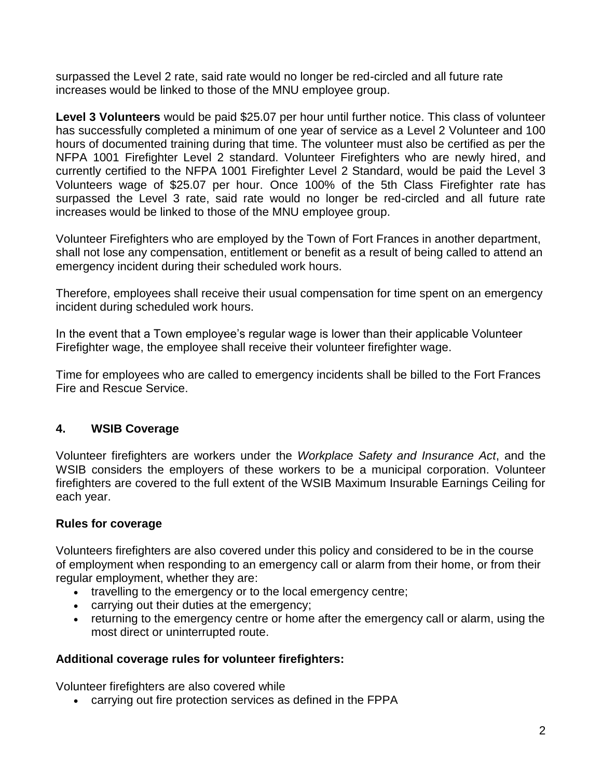surpassed the Level 2 rate, said rate would no longer be red-circled and all future rate increases would be linked to those of the MNU employee group.

**Level 3 Volunteers** would be paid \$25.07 per hour until further notice. This class of volunteer has successfully completed a minimum of one year of service as a Level 2 Volunteer and 100 hours of documented training during that time. The volunteer must also be certified as per the NFPA 1001 Firefighter Level 2 standard. Volunteer Firefighters who are newly hired, and currently certified to the NFPA 1001 Firefighter Level 2 Standard, would be paid the Level 3 Volunteers wage of \$25.07 per hour. Once 100% of the 5th Class Firefighter rate has surpassed the Level 3 rate, said rate would no longer be red-circled and all future rate increases would be linked to those of the MNU employee group.

Volunteer Firefighters who are employed by the Town of Fort Frances in another department, shall not lose any compensation, entitlement or benefit as a result of being called to attend an emergency incident during their scheduled work hours.

Therefore, employees shall receive their usual compensation for time spent on an emergency incident during scheduled work hours.

In the event that a Town employee's regular wage is lower than their applicable Volunteer Firefighter wage, the employee shall receive their volunteer firefighter wage.

Time for employees who are called to emergency incidents shall be billed to the Fort Frances Fire and Rescue Service.

#### **4. WSIB Coverage**

Volunteer firefighters are workers under the *Workplace Safety and Insurance Act*, and the WSIB considers the employers of these workers to be a municipal corporation. Volunteer firefighters are covered to the full extent of the WSIB Maximum Insurable Earnings Ceiling for each year.

#### **Rules for coverage**

Volunteers firefighters are also covered under this policy and considered to be in the course of employment when responding to an emergency call or alarm from their home, or from their regular employment, whether they are:

- travelling to the emergency or to the local emergency centre;
- carrying out their duties at the emergency;
- returning to the emergency centre or home after the emergency call or alarm, using the most direct or uninterrupted route.

#### **Additional coverage rules for volunteer firefighters:**

Volunteer firefighters are also covered while

• carrying out fire protection services as defined in the FPPA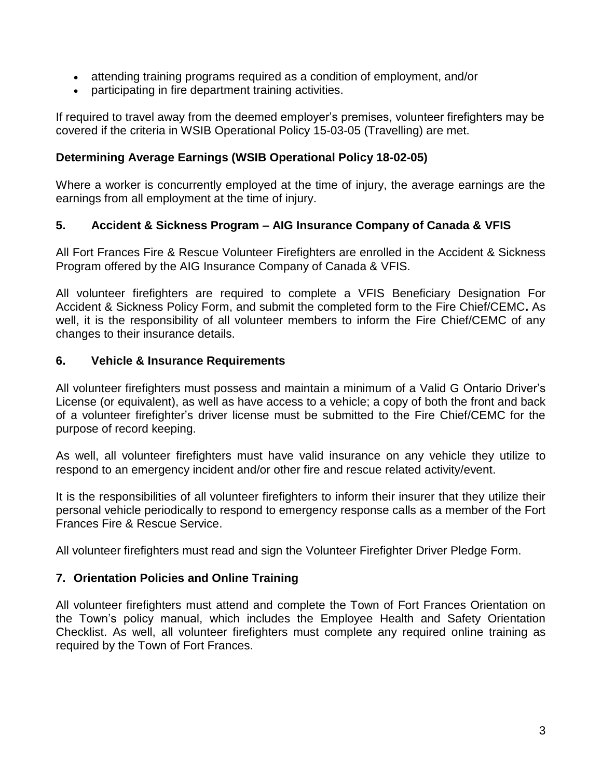- attending training programs required as a condition of employment, and/or
- participating in fire department training activities.

If required to travel away from the deemed employer's premises, volunteer firefighters may be covered if the criteria in WSIB Operational Policy 15-03-05 [\(Travelling\)](http://www.wsib.on.ca/WSIBPortal/faces/WSIBManualPage?cGUID=15-03-05&rDef=WSIB_RD_OPM&fGUID=835502100635000498) are met.

#### **Determining Average Earnings (WSIB Operational Policy 18-02-05)**

Where a worker is concurrently employed at the time of injury, the average earnings are the earnings from all employment at the time of injury.

#### **5. Accident & Sickness Program – AIG Insurance Company of Canada & VFIS**

All Fort Frances Fire & Rescue Volunteer Firefighters are enrolled in the Accident & Sickness Program offered by the AIG Insurance Company of Canada & VFIS.

All volunteer firefighters are required to complete a VFIS Beneficiary Designation For Accident & Sickness Policy Form, and submit the completed form to the Fire Chief/CEMC**.** As well, it is the responsibility of all volunteer members to inform the Fire Chief/CEMC of any changes to their insurance details.

#### **6. Vehicle & Insurance Requirements**

All volunteer firefighters must possess and maintain a minimum of a Valid G Ontario Driver's License (or equivalent), as well as have access to a vehicle; a copy of both the front and back of a volunteer firefighter's driver license must be submitted to the Fire Chief/CEMC for the purpose of record keeping.

As well, all volunteer firefighters must have valid insurance on any vehicle they utilize to respond to an emergency incident and/or other fire and rescue related activity/event.

It is the responsibilities of all volunteer firefighters to inform their insurer that they utilize their personal vehicle periodically to respond to emergency response calls as a member of the Fort Frances Fire & Rescue Service.

All volunteer firefighters must read and sign the Volunteer Firefighter Driver Pledge Form.

#### **7. Orientation Policies and Online Training**

All volunteer firefighters must attend and complete the Town of Fort Frances Orientation on the Town's policy manual, which includes the Employee Health and Safety Orientation Checklist. As well, all volunteer firefighters must complete any required online training as required by the Town of Fort Frances.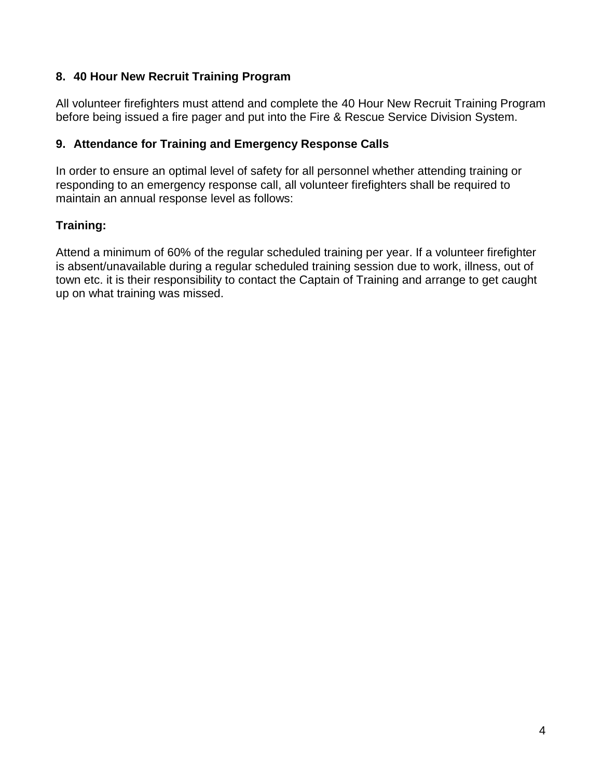#### **8. 40 Hour New Recruit Training Program**

All volunteer firefighters must attend and complete the 40 Hour New Recruit Training Program before being issued a fire pager and put into the Fire & Rescue Service Division System.

#### **9. Attendance for Training and Emergency Response Calls**

In order to ensure an optimal level of safety for all personnel whether attending training or responding to an emergency response call, all volunteer firefighters shall be required to maintain an annual response level as follows:

#### **Training:**

Attend a minimum of 60% of the regular scheduled training per year. If a volunteer firefighter is absent/unavailable during a regular scheduled training session due to work, illness, out of town etc. it is their responsibility to contact the Captain of Training and arrange to get caught up on what training was missed.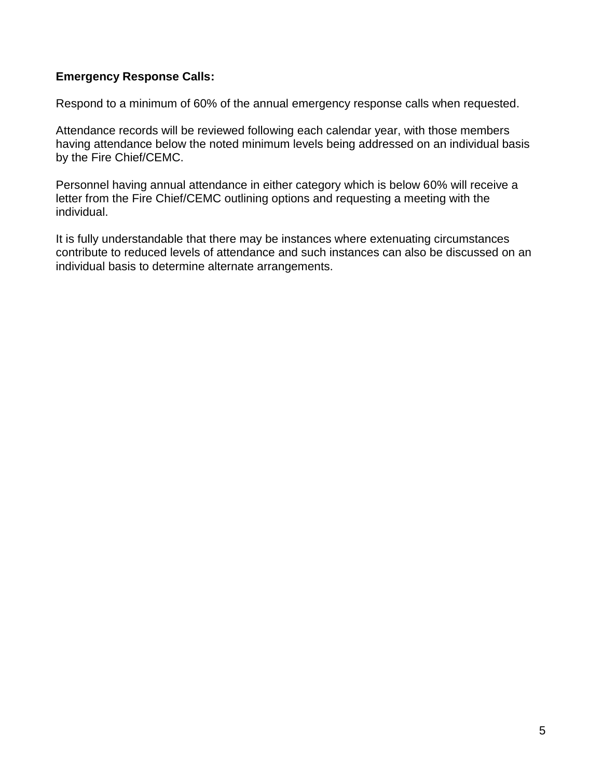#### **Emergency Response Calls:**

Respond to a minimum of 60% of the annual emergency response calls when requested.

Attendance records will be reviewed following each calendar year, with those members having attendance below the noted minimum levels being addressed on an individual basis by the Fire Chief/CEMC.

Personnel having annual attendance in either category which is below 60% will receive a letter from the Fire Chief/CEMC outlining options and requesting a meeting with the individual.

It is fully understandable that there may be instances where extenuating circumstances contribute to reduced levels of attendance and such instances can also be discussed on an individual basis to determine alternate arrangements.